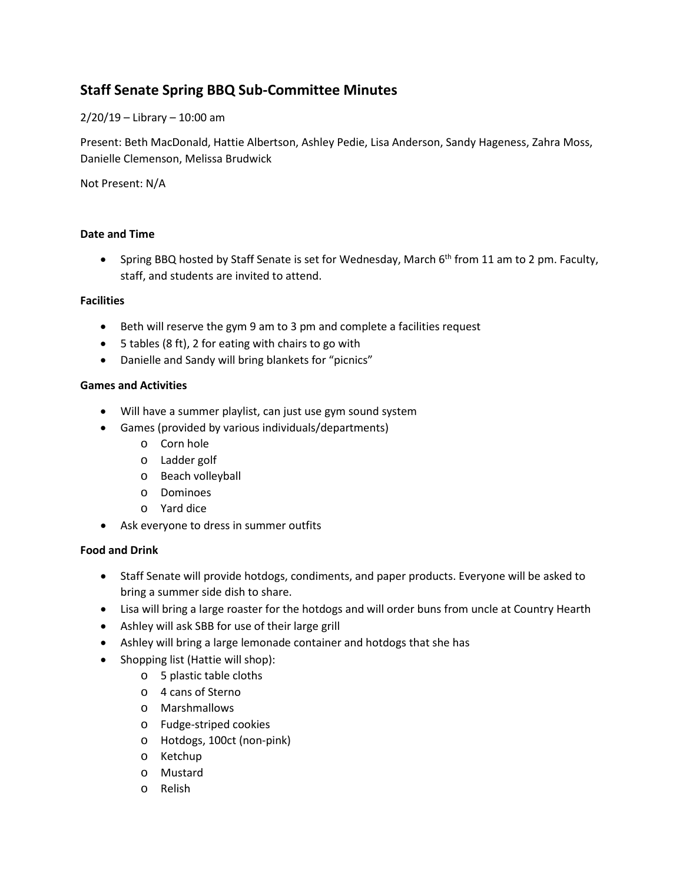# **Staff Senate Spring BBQ Sub-Committee Minutes**

2/20/19 – Library – 10:00 am

Present: Beth MacDonald, Hattie Albertson, Ashley Pedie, Lisa Anderson, Sandy Hageness, Zahra Moss, Danielle Clemenson, Melissa Brudwick

Not Present: N/A

## **Date and Time**

• Spring BBQ hosted by Staff Senate is set for Wednesday, March 6<sup>th</sup> from 11 am to 2 pm. Faculty, staff, and students are invited to attend.

## **Facilities**

- Beth will reserve the gym 9 am to 3 pm and complete a facilities request
- 5 tables (8 ft), 2 for eating with chairs to go with
- Danielle and Sandy will bring blankets for "picnics"

### **Games and Activities**

- Will have a summer playlist, can just use gym sound system
- Games (provided by various individuals/departments)
	- o Corn hole
	- o Ladder golf
	- o Beach volleyball
	- o Dominoes
	- o Yard dice
- Ask everyone to dress in summer outfits

### **Food and Drink**

- Staff Senate will provide hotdogs, condiments, and paper products. Everyone will be asked to bring a summer side dish to share.
- Lisa will bring a large roaster for the hotdogs and will order buns from uncle at Country Hearth
- Ashley will ask SBB for use of their large grill
- Ashley will bring a large lemonade container and hotdogs that she has
- Shopping list (Hattie will shop):
	- o 5 plastic table cloths
		- o 4 cans of Sterno
		- o Marshmallows
		- o Fudge-striped cookies
		- o Hotdogs, 100ct (non-pink)
		- o Ketchup
		- o Mustard
		- o Relish